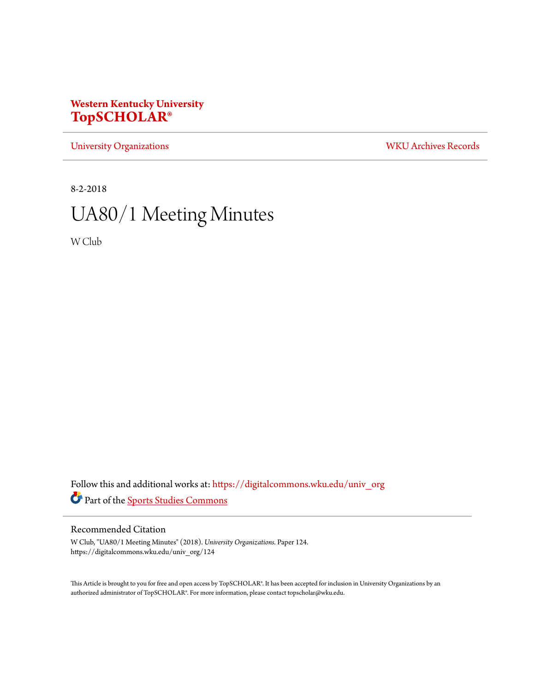## **Western Kentucky University [TopSCHOLAR®](https://digitalcommons.wku.edu?utm_source=digitalcommons.wku.edu%2Funiv_org%2F124&utm_medium=PDF&utm_campaign=PDFCoverPages)**

[University Organizations](https://digitalcommons.wku.edu/univ_org?utm_source=digitalcommons.wku.edu%2Funiv_org%2F124&utm_medium=PDF&utm_campaign=PDFCoverPages) [WKU Archives Records](https://digitalcommons.wku.edu/dlsc_ua_records?utm_source=digitalcommons.wku.edu%2Funiv_org%2F124&utm_medium=PDF&utm_campaign=PDFCoverPages)

8-2-2018

# UA80/1 Meeting Minutes

W Club

Follow this and additional works at: [https://digitalcommons.wku.edu/univ\\_org](https://digitalcommons.wku.edu/univ_org?utm_source=digitalcommons.wku.edu%2Funiv_org%2F124&utm_medium=PDF&utm_campaign=PDFCoverPages) Part of the [Sports Studies Commons](http://network.bepress.com/hgg/discipline/1198?utm_source=digitalcommons.wku.edu%2Funiv_org%2F124&utm_medium=PDF&utm_campaign=PDFCoverPages)

#### Recommended Citation

W Club, "UA80/1 Meeting Minutes" (2018). *University Organizations.* Paper 124. https://digitalcommons.wku.edu/univ\_org/124

This Article is brought to you for free and open access by TopSCHOLAR®. It has been accepted for inclusion in University Organizations by an authorized administrator of TopSCHOLAR®. For more information, please contact topscholar@wku.edu.